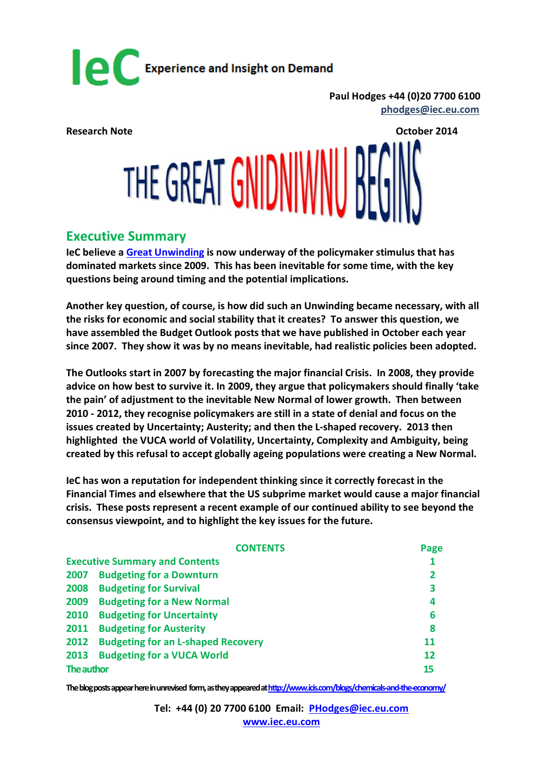

**Paul Hodges +44 (0)20 7700 6100 [phodges@iec.eu.com](mailto:phodges@iec.eu.com)** 

**Research Note October 2014**

# THE GREAT GNIDNIWNU

#### **Executive Summary**

**IeC believe a [Great Unwinding](http://internationalechem.com/wp-content/uploads/2014/10/Research-Note-Unwinding.pdf) is now underway of the policymaker stimulus that has dominated markets since 2009. This has been inevitable for some time, with the key questions being around timing and the potential implications.** 

**Another key question, of course, is how did such an Unwinding became necessary, with all the risks for economic and social stability that it creates? To answer this question, we have assembled the Budget Outlook posts that we have published in October each year since 2007. They show it was by no means inevitable, had realistic policies been adopted.**

**The Outlooks start in 2007 by forecasting the major financial Crisis. In 2008, they provide advice on how best to survive it. In 2009, they argue that policymakers should finally 'take the pain' of adjustment to the inevitable New Normal of lower growth. Then between 2010 - 2012, they recognise policymakers are still in a state of denial and focus on the issues created by Uncertainty; Austerity; and then the L-shaped recovery. 2013 then highlighted the VUCA world of Volatility, Uncertainty, Complexity and Ambiguity, being created by this refusal to accept globally ageing populations were creating a New Normal.**

**IeC has won a reputation for independent thinking since it correctly forecast in the Financial Times and elsewhere that the US subprime market would cause a major financial crisis. These posts represent a recent example of our continued ability to see beyond the consensus viewpoint, and to highlight the key issues for the future.**

|                                       | <b>CONTENTS</b>                           | Page         |
|---------------------------------------|-------------------------------------------|--------------|
| <b>Executive Summary and Contents</b> |                                           |              |
| 2007                                  | <b>Budgeting for a Downturn</b>           | $\mathbf{2}$ |
| 2008                                  | <b>Budgeting for Survival</b>             | 3            |
| 2009                                  | <b>Budgeting for a New Normal</b>         | 4            |
| 2010                                  | <b>Budgeting for Uncertainty</b>          | 6            |
| 2011                                  | <b>Budgeting for Austerity</b>            | 8            |
| 2012                                  | <b>Budgeting for an L-shaped Recovery</b> | 11           |
| 2013                                  | <b>Budgeting for a VUCA World</b>         | 12           |
| The author                            |                                           | 15           |

**The blogposts appear here in unrevised form, as they appeared a[thttp://www.icis.com/blogs/chemicals-and-the-economy/](http://www.icis.com/blogs/chemicals-and-the-economy/)**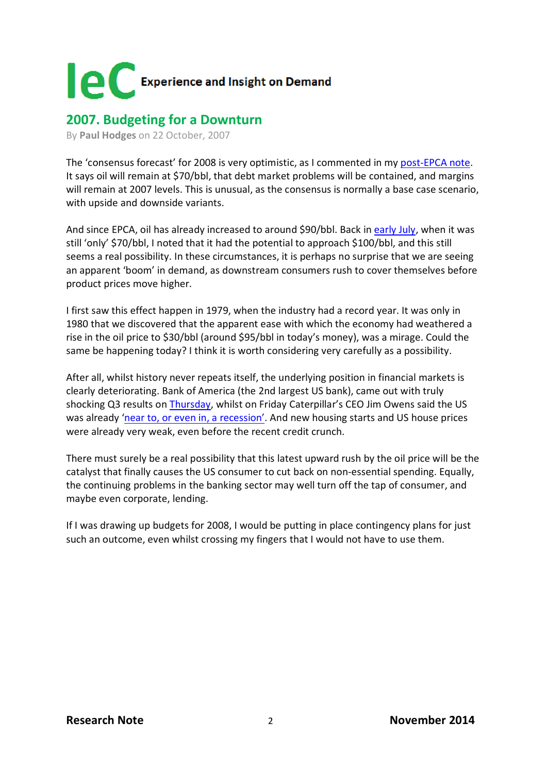

#### **2007. Budgeting for a Downturn**

By **[Paul Hodges](http://www.icis.com/blogs/chemicals-and-the-economy/PaulHodges/)** on 22 October, 2007

The 'consensus forecast' for 2008 is very optimistic, as I commented in my [post-EPCA note.](http://www.icis.com/blogs/chemicals-and-the-economy/2007/10/03/epca-2007/) It says oil will remain at \$70/bbl, that debt market problems will be contained, and margins will remain at 2007 levels. This is unusual, as the consensus is normally a base case scenario, with upside and downside variants.

And since EPCA, oil has already increased to around \$90/bbl. Back in [early July,](http://www.icis.com/blogs/chemicals-and-the-economy/2007/07/05/what-price-oil-1/) when it was still 'only' \$70/bbl, I noted that it had the potential to approach \$100/bbl, and this still seems a real possibility. In these circumstances, it is perhaps no surprise that we are seeing an apparent 'boom' in demand, as downstream consumers rush to cover themselves before product prices move higher.

I first saw this effect happen in 1979, when the industry had a record year. It was only in 1980 that we discovered that the apparent ease with which the economy had weathered a rise in the oil price to \$30/bbl (around \$95/bbl in today's money), was a mirage. Could the same be happening today? I think it is worth considering very carefully as a possibility.

After all, whilst history never repeats itself, the underlying position in financial markets is clearly deteriorating. Bank of America (the 2nd largest US bank), came out with truly shocking Q3 results on [Thursday,](http://www.ft.com/cms/s/1/6690e784-7ddc-11dc-9f47-0000779fd2ac.html) whilst on Friday Caterpillar's CEO Jim Owens said the US was already ['near to, or even in, a recession'.](http://www.ft.com/cms/s/0/4ac7e4f4-7e7b-11dc-8fac-0000779fd2ac.html) And new housing starts and US house prices were already very weak, even before the recent credit crunch.

There must surely be a real possibility that this latest upward rush by the oil price will be the catalyst that finally causes the US consumer to cut back on non-essential spending. Equally, the continuing problems in the banking sector may well turn off the tap of consumer, and maybe even corporate, lending.

If I was drawing up budgets for 2008, I would be putting in place contingency plans for just such an outcome, even whilst crossing my fingers that I would not have to use them.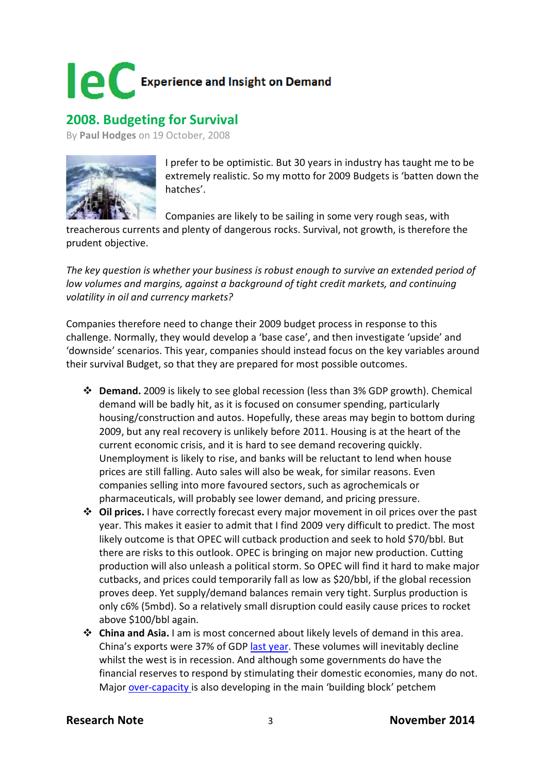

### **2008. Budgeting for Survival**

By **[Paul Hodges](http://www.icis.com/blogs/chemicals-and-the-economy/PaulHodges/)** on 19 October, 2008



I prefer to be optimistic. But 30 years in industry has taught me to be extremely realistic. So my motto for 2009 Budgets is 'batten down the hatches'.

Companies are likely to be sailing in some very rough seas, with

treacherous currents and plenty of dangerous rocks. Survival, not growth, is therefore the prudent objective.

*The key question is whether your business is robust enough to survive an extended period of low volumes and margins, against a background of tight credit markets, and continuing volatility in oil and currency markets?* 

Companies therefore need to change their 2009 budget process in response to this challenge. Normally, they would develop a 'base case', and then investigate 'upside' and 'downside' scenarios. This year, companies should instead focus on the key variables around their survival Budget, so that they are prepared for most possible outcomes.

- **Demand.** 2009 is likely to see global recession (less than 3% GDP growth). Chemical demand will be badly hit, as it is focused on consumer spending, particularly housing/construction and autos. Hopefully, these areas may begin to bottom during 2009, but any real recovery is unlikely before 2011. Housing is at the heart of the current economic crisis, and it is hard to see demand recovering quickly. Unemployment is likely to rise, and banks will be reluctant to lend when house prices are still falling. Auto sales will also be weak, for similar reasons. Even companies selling into more favoured sectors, such as agrochemicals or pharmaceuticals, will probably see lower demand, and pricing pressure.
- **Oil prices.** I have correctly forecast every major movement in oil prices over the past year. This makes it easier to admit that I find 2009 very difficult to predict. The most likely outcome is that OPEC will cutback production and seek to hold \$70/bbl. But there are risks to this outlook. OPEC is bringing on major new production. Cutting production will also unleash a political storm. So OPEC will find it hard to make major cutbacks, and prices could temporarily fall as low as \$20/bbl, if the global recession proves deep. Yet supply/demand balances remain very tight. Surplus production is only c6% (5mbd). So a relatively small disruption could easily cause prices to rocket above \$100/bbl again.
- **China and Asia.** I am is most concerned about likely levels of demand in this area. China's exports were 37% of GDP [last year.](http://www.icis.com/blogs/chemicals-and-the-economy/2008/09/29/chinas-export-dependency-grows/) These volumes will inevitably decline whilst the west is in recession. And although some governments do have the financial reserves to respond by stimulating their domestic economies, many do not. Major [over-capacity is](http://www.icis.com/blogs/chemicals-and-the-economy/2008/08/17/increasing-change-complexity-c/) also developing in the main 'building block' petchem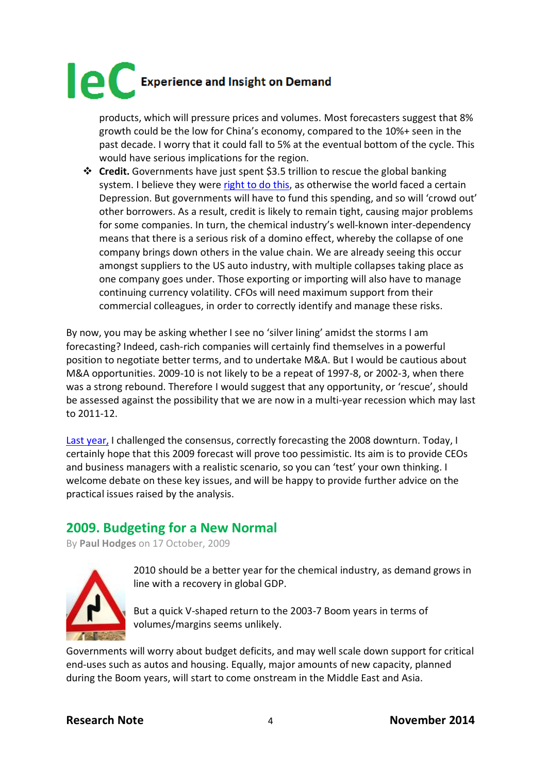products, which will pressure prices and volumes. Most forecasters suggest that 8% growth could be the low for China's economy, compared to the 10%+ seen in the past decade. I worry that it could fall to 5% at the eventual bottom of the cycle. This would have serious implications for the region.

 **Credit.** Governments have just spent \$3.5 trillion to rescue the global banking system. I believe they were [right to do this,](http://www.icis.com/blogs/chemicals-and-the-economy/2008/10/14/the-aptly-named-mr-darling/) as otherwise the world faced a certain Depression. But governments will have to fund this spending, and so will 'crowd out' other borrowers. As a result, credit is likely to remain tight, causing major problems for some companies. In turn, the chemical industry's well-known inter-dependency means that there is a serious risk of a domino effect, whereby the collapse of one company brings down others in the value chain. We are already seeing this occur amongst suppliers to the US auto industry, with multiple collapses taking place as one company goes under. Those exporting or importing will also have to manage continuing currency volatility. CFOs will need maximum support from their commercial colleagues, in order to correctly identify and manage these risks.

By now, you may be asking whether I see no 'silver lining' amidst the storms I am forecasting? Indeed, cash-rich companies will certainly find themselves in a powerful position to negotiate better terms, and to undertake M&A. But I would be cautious about M&A opportunities. 2009-10 is not likely to be a repeat of 1997-8, or 2002-3, when there was a strong rebound. Therefore I would suggest that any opportunity, or 'rescue', should be assessed against the possibility that we are now in a multi-year recession which may last to 2011-12.

[Last year,](http://www.icis.com/blogs/chemicals-and-the-economy/2007/10/22/budgeting-for-a-downturn-1/) I challenged the consensus, correctly forecasting the 2008 downturn. Today, I certainly hope that this 2009 forecast will prove too pessimistic. Its aim is to provide CEOs and business managers with a realistic scenario, so you can 'test' your own thinking. I welcome debate on these key issues, and will be happy to provide further advice on the practical issues raised by the analysis.

### **2009. Budgeting for a New Normal**

By **[Paul Hodges](http://www.icis.com/blogs/chemicals-and-the-economy/PaulHodges/)** on 17 October, 2009



2010 should be a better year for the chemical industry, as demand grows in line with a recovery in global GDP.

But a quick V-shaped return to the 2003-7 Boom years in terms of volumes/margins seems unlikely.

Governments will worry about budget deficits, and may well scale down support for critical end-uses such as autos and housing. Equally, major amounts of new capacity, planned during the Boom years, will start to come onstream in the Middle East and Asia.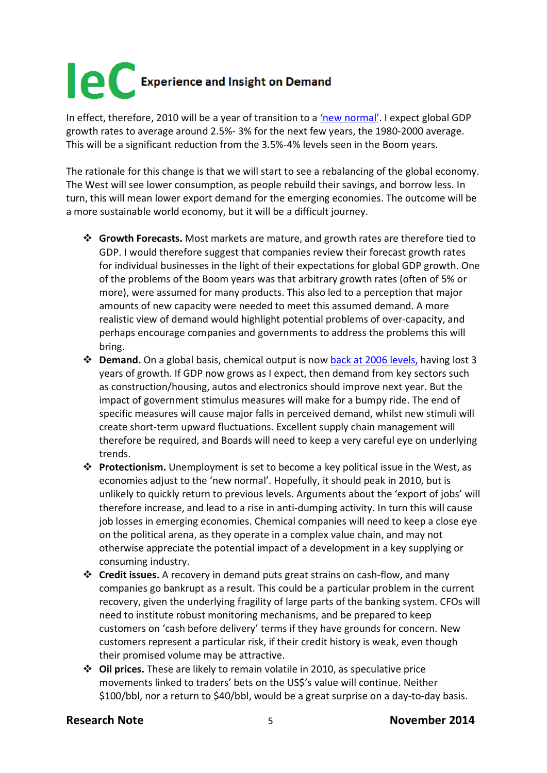In effect, therefore, 2010 will be a year of transition to a ['new normal'.](http://www.pimco.com/LeftNav/PIMCO+Spotlight/2009/Secular+Outlook+May+2009+El-Erian.htm) I expect global GDP growth rates to average around 2.5%- 3% for the next few years, the 1980-2000 average. This will be a significant reduction from the 3.5%-4% levels seen in the Boom years.

The rationale for this change is that we will start to see a rebalancing of the global economy. The West will see lower consumption, as people rebuild their savings, and borrow less. In turn, this will mean lower export demand for the emerging economies. The outcome will be a more sustainable world economy, but it will be a difficult journey.

- **Growth Forecasts.** Most markets are mature, and growth rates are therefore tied to GDP. I would therefore suggest that companies review their forecast growth rates for individual businesses in the light of their expectations for global GDP growth. One of the problems of the Boom years was that arbitrary growth rates (often of 5% or more), were assumed for many products. This also led to a perception that major amounts of new capacity were needed to meet this assumed demand. A more realistic view of demand would highlight potential problems of over-capacity, and perhaps encourage companies and governments to address the problems this will bring.
- **Demand.** On a global basis, chemical output is no[w back at 2006 levels,](http://www.icis.com/blogs/chemicals-and-the-economy/2009/10/03/global-chemicals-volume-back-t/) having lost 3 years of growth. If GDP now grows as I expect, then demand from key sectors such as construction/housing, autos and electronics should improve next year. But the impact of government stimulus measures will make for a bumpy ride. The end of specific measures will cause major falls in perceived demand, whilst new stimuli will create short-term upward fluctuations. Excellent supply chain management will therefore be required, and Boards will need to keep a very careful eye on underlying trends.
- **Protectionism.** Unemployment is set to become a key political issue in the West, as economies adjust to the 'new normal'. Hopefully, it should peak in 2010, but is unlikely to quickly return to previous levels. Arguments about the 'export of jobs' will therefore increase, and lead to a rise in anti-dumping activity. In turn this will cause job losses in emerging economies. Chemical companies will need to keep a close eye on the political arena, as they operate in a complex value chain, and may not otherwise appreciate the potential impact of a development in a key supplying or consuming industry.
- **Credit issues.** A recovery in demand puts great strains on cash-flow, and many companies go bankrupt as a result. This could be a particular problem in the current recovery, given the underlying fragility of large parts of the banking system. CFOs will need to institute robust monitoring mechanisms, and be prepared to keep customers on 'cash before delivery' terms if they have grounds for concern. New customers represent a particular risk, if their credit history is weak, even though their promised volume may be attractive.
- **Oil prices.** These are likely to remain volatile in 2010, as speculative price movements linked to traders' bets on the US\$'s value will continue. Neither \$100/bbl, nor a return to \$40/bbl, would be a great surprise on a day-to-day basis.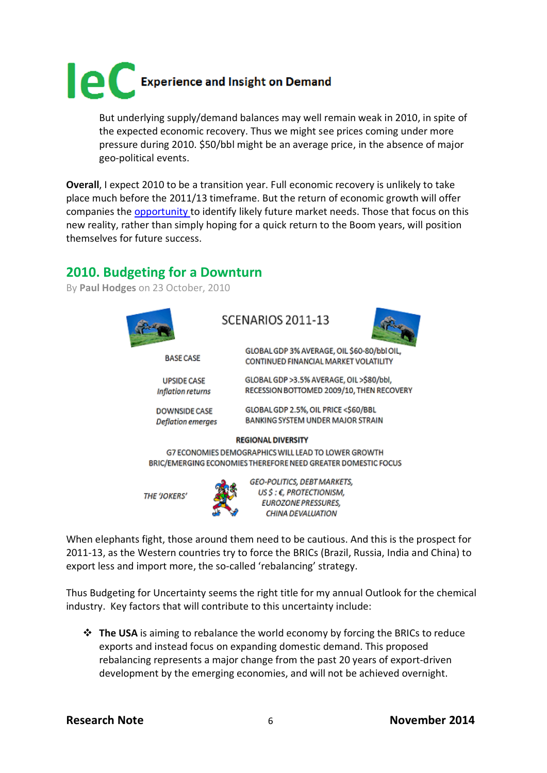

But underlying supply/demand balances may well remain weak in 2010, in spite of the expected economic recovery. Thus we might see prices coming under more pressure during 2010. \$50/bbl might be an average price, in the absence of major geo-political events.

**Overall**, I expect 2010 to be a transition year. Full economic recovery is unlikely to take place much before the 2011/13 timeframe. But the return of economic growth will offer companies the [opportunity t](http://www.icis.com/blogs/chemicals-and-the-economy/2009/10/07/petchems-prepares-for-a-new-re/)o identify likely future market needs. Those that focus on this new reality, rather than simply hoping for a quick return to the Boom years, will position themselves for future success.

### **2010. Budgeting for a Downturn**

By **[Paul Hodges](http://www.icis.com/blogs/chemicals-and-the-economy/PaulHodges/)** on 23 October, 2010



**DOWNSIDE CASE** 

SCENARIOS 2011-13



GLOBAL GDP 3% AVERAGE, OIL \$60-80/bbl OIL CONTINUED FINANCIAL MARKET VOLATILITY

GLOBAL GDP >3.5% AVERAGE. OIL >\$80/bbl. RECESSION BOTTOMED 2009/10, THEN RECOVERY

GLOBAL GDP 2.5%, OIL PRICE <\$60/BBL BANKING SYSTEM UNDER MAJOR STRAIN **Deflation emerges** 

#### **REGIONAL DIVERSITY**

G7 ECONOMIES DEMOGRAPHICS WILL LEAD TO LOWER GROWTH BRIC/EMERGING ECONOMIES THEREFORE NEED GREATER DOMESTIC FOCUS

**THE 'JOKERS'** 

GEO-POLITICS, DEBT MARKETS, US \$ : €. PROTECTIONISM. **EUROZONE PRESSURES,** CHINA DEVALUATION

When elephants fight, those around them need to be cautious. And this is the prospect for 2011-13, as the Western countries try to force the BRICs (Brazil, Russia, India and China) to export less and import more, the so-called 'rebalancing' strategy.

Thus Budgeting for Uncertainty seems the right title for my annual Outlook for the chemical industry. Key factors that will contribute to this uncertainty include:

 **The USA** is aiming to rebalance the world economy by forcing the BRICs to reduce exports and instead focus on expanding domestic demand. This proposed rebalancing represents a major change from the past 20 years of export-driven development by the emerging economies, and will not be achieved overnight.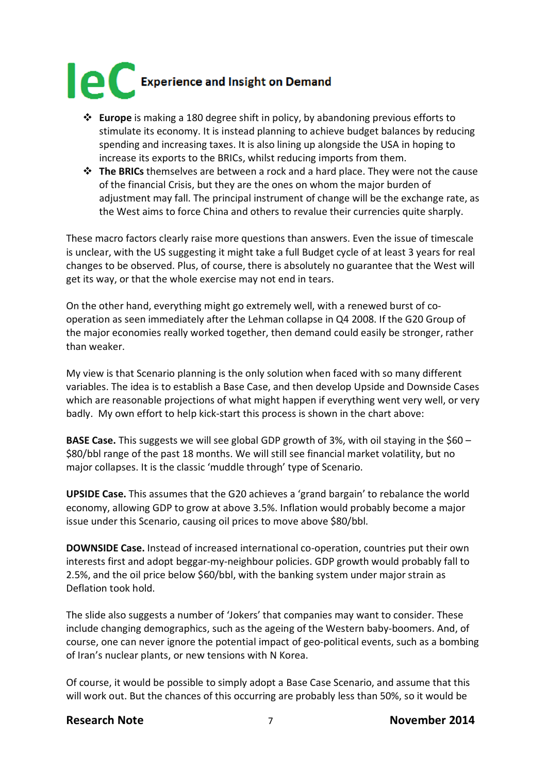

- **Europe** is making a 180 degree shift in policy, by abandoning previous efforts to stimulate its economy. It is instead planning to achieve budget balances by reducing spending and increasing taxes. It is also lining up alongside the USA in hoping to increase its exports to the BRICs, whilst reducing imports from them.
- **The BRICs** themselves are between a rock and a hard place. They were not the cause of the financial Crisis, but they are the ones on whom the major burden of adjustment may fall. The principal instrument of change will be the exchange rate, as the West aims to force China and others to revalue their currencies quite sharply.

These macro factors clearly raise more questions than answers. Even the issue of timescale is unclear, with the US suggesting it might take a full Budget cycle of at least 3 years for real changes to be observed. Plus, of course, there is absolutely no guarantee that the West will get its way, or that the whole exercise may not end in tears.

On the other hand, everything might go extremely well, with a renewed burst of cooperation as seen immediately after the Lehman collapse in Q4 2008. If the G20 Group of the major economies really worked together, then demand could easily be stronger, rather than weaker.

My view is that Scenario planning is the only solution when faced with so many different variables. The idea is to establish a Base Case, and then develop Upside and Downside Cases which are reasonable projections of what might happen if everything went very well, or very badly. My own effort to help kick-start this process is shown in the chart above:

**BASE Case.** This suggests we will see global GDP growth of 3%, with oil staying in the \$60 – \$80/bbl range of the past 18 months. We will still see financial market volatility, but no major collapses. It is the classic 'muddle through' type of Scenario.

**UPSIDE Case.** This assumes that the G20 achieves a 'grand bargain' to rebalance the world economy, allowing GDP to grow at above 3.5%. Inflation would probably become a major issue under this Scenario, causing oil prices to move above \$80/bbl.

**DOWNSIDE Case.** Instead of increased international co-operation, countries put their own interests first and adopt beggar-my-neighbour policies. GDP growth would probably fall to 2.5%, and the oil price below \$60/bbl, with the banking system under major strain as Deflation took hold.

The slide also suggests a number of 'Jokers' that companies may want to consider. These include changing demographics, such as the ageing of the Western baby-boomers. And, of course, one can never ignore the potential impact of geo-political events, such as a bombing of Iran's nuclear plants, or new tensions with N Korea.

Of course, it would be possible to simply adopt a Base Case Scenario, and assume that this will work out. But the chances of this occurring are probably less than 50%, so it would be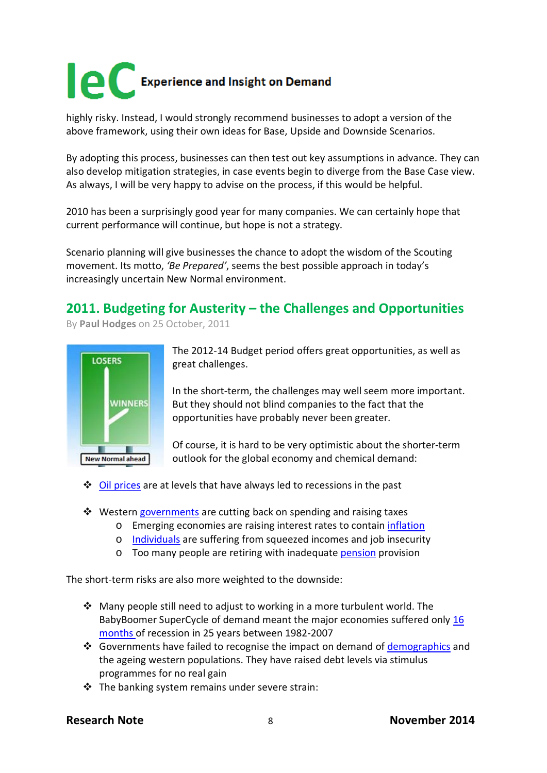highly risky. Instead, I would strongly recommend businesses to adopt a version of the above framework, using their own ideas for Base, Upside and Downside Scenarios.

By adopting this process, businesses can then test out key assumptions in advance. They can also develop mitigation strategies, in case events begin to diverge from the Base Case view. As always, I will be very happy to advise on the process, if this would be helpful.

2010 has been a surprisingly good year for many companies. We can certainly hope that current performance will continue, but hope is not a strategy.

Scenario planning will give businesses the chance to adopt the wisdom of the Scouting movement. Its motto, *'Be Prepared'*, seems the best possible approach in today's increasingly uncertain New Normal environment.

### **2011. Budgeting for Austerity – the Challenges and Opportunities**

By **[Paul Hodges](http://www.icis.com/blogs/chemicals-and-the-economy/PaulHodges/)** on 25 October, 2011



The 2012-14 Budget period offers great opportunities, as well as great challenges.

In the short-term, the challenges may well seem more important. But they should not blind companies to the fact that the opportunities have probably never been greater.

Of course, it is hard to be very optimistic about the shorter-term outlook for the global economy and chemical demand:

- $\triangle$  [Oil prices](http://www.icis.com/blogs/chemicals-and-the-economy/2011/10/12/global-oil-costs-now-over-5-of/) are at levels that have always led to recessions in the past
- ❖ Western [governments](http://www.icis.com/blogs/chemicals-and-the-economy/2011/10/20/europes-austerity-packages-sta/) are cutting back on spending and raising taxes
	- o Emerging economies are raising interest rates to contain [inflation](http://www.icis.com/blogs/chemicals-and-the-economy/2011/09/17/chinas-lending-contines-to-tig/)
	- o [Individuals](http://www.icis.com/blogs/chemicals-and-the-economy/2011/10/18/lower-earnings-pensions-hit-us-consumers/) are suffering from squeezed incomes and job insecurity
	- o Too many people are retiring with inadequate [pension](http://www.icis.com/blogs/chemicals-and-the-economy/2011/09/24/more-western-pensioners-means/) provision

The short-term risks are also more weighted to the downside:

- $\triangle$  Many people still need to adjust to working in a more turbulent world. The BabyBoomer SuperCycle of demand meant the major economies suffered only [16](http://www.icis.com/blogs/chemicals-and-the-economy/2011/06/11/global-economy-goes-back-to-th/)  [months o](http://www.icis.com/blogs/chemicals-and-the-economy/2011/06/11/global-economy-goes-back-to-th/)f recession in 25 years between 1982-2007
- Governments have failed to recognise the impact on demand of [demographics](http://www.icis.com/blogs/chemicals-and-the-economy/2011/09/06/the-blog-in-the-financial-time/) and the ageing western populations. They have raised debt levels via stimulus programmes for no real gain
- $\cdot \cdot$  The banking system remains under severe strain: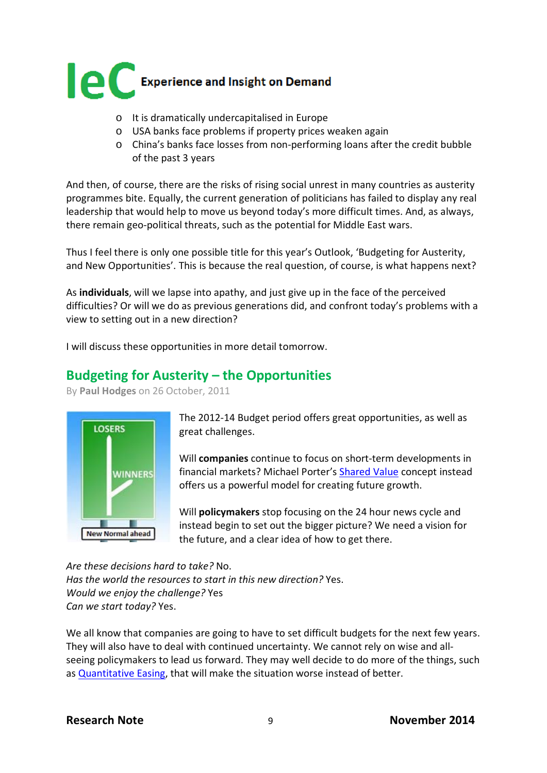

- o It is dramatically undercapitalised in Europe
- o USA banks face problems if property prices weaken again
- o China's banks face losses from non-performing loans after the credit bubble of the past 3 years

And then, of course, there are the risks of rising social unrest in many countries as austerity programmes bite. Equally, the current generation of politicians has failed to display any real leadership that would help to move us beyond today's more difficult times. And, as always, there remain geo-political threats, such as the potential for Middle East wars.

Thus I feel there is only one possible title for this year's Outlook, 'Budgeting for Austerity, and New Opportunities'. This is because the real question, of course, is what happens next?

As **individuals**, will we lapse into apathy, and just give up in the face of the perceived difficulties? Or will we do as previous generations did, and confront today's problems with a view to setting out in a new direction?

I will discuss these opportunities in more detail tomorrow.

#### **Budgeting for Austerity – the Opportunities**

By **[Paul Hodges](http://www.icis.com/blogs/chemicals-and-the-economy/PaulHodges/)** on 26 October, 2011



The 2012-14 Budget period offers great opportunities, as well as great challenges.

Will **companies** continue to focus on short-term developments in financial markets? Michael Porter's [Shared Value](http://www.icis.com/blogs/chemicals-and-the-economy/2011/01/08/shared-value-to-replace-shareh/) concept instead offers us a powerful model for creating future growth.

Will **policymakers** stop focusing on the 24 hour news cycle and instead begin to set out the bigger picture? We need a vision for the future, and a clear idea of how to get there.

*Are these decisions hard to take?* No. *Has the world the resources to start in this new direction?* Yes. *Would we enjoy the challenge?* Yes *Can we start today?* Yes.

We all know that companies are going to have to set difficult budgets for the next few years. They will also have to deal with continued uncertainty. We cannot rely on wise and allseeing policymakers to lead us forward. They may well decide to do more of the things, such as [Quantitative Easing,](http://www.icis.com/blogs/chemicals-and-the-economy/2011/08/13/protectionism-moves-closer-as/) that will make the situation worse instead of better.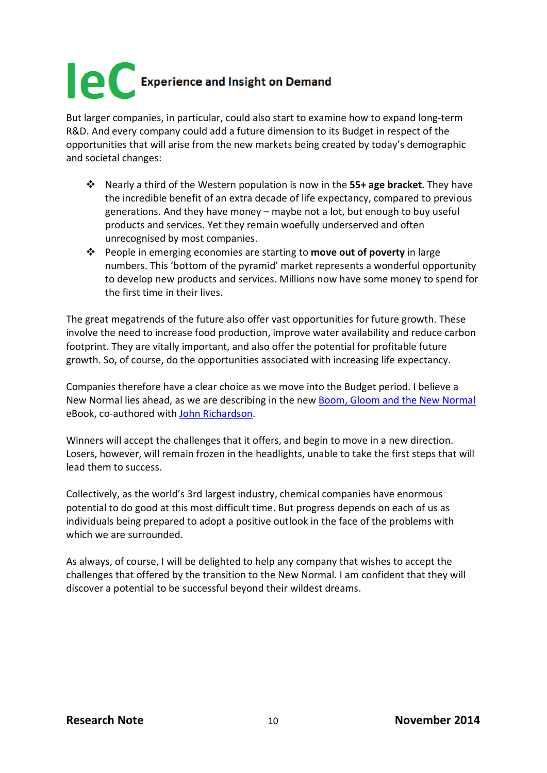But larger companies, in particular, could also start to examine how to expand long-term R&D. And every company could add a future dimension to its Budget in respect of the opportunities that will arise from the new markets being created by today's demographic and societal changes:

- Nearly a third of the Western population is now in the **55+ age bracket**. They have the incredible benefit of an extra decade of life expectancy, compared to previous generations. And they have money – maybe not a lot, but enough to buy useful products and services. Yet they remain woefully underserved and often unrecognised by most companies.
- People in emerging economies are starting to **move out of poverty** in large numbers. This 'bottom of the pyramid' market represents a wonderful opportunity to develop new products and services. Millions now have some money to spend for the first time in their lives.

The great megatrends of the future also offer vast opportunities for future growth. These involve the need to increase food production, improve water availability and reduce carbon footprint. They are vitally important, and also offer the potential for profitable future growth. So, of course, do the opportunities associated with increasing life expectancy.

Companies therefore have a clear choice as we move into the Budget period. I believe a New Normal lies ahead, as we are describing in the new [Boom, Gloom and the New Normal](http://www.new-normal.com/book) eBook, co-authored with [John Richardson.](http://www.icis.com/blogs/asian-chemical-connections/)

Winners will accept the challenges that it offers, and begin to move in a new direction. Losers, however, will remain frozen in the headlights, unable to take the first steps that will lead them to success.

Collectively, as the world's 3rd largest industry, chemical companies have enormous potential to do good at this most difficult time. But progress depends on each of us as individuals being prepared to adopt a positive outlook in the face of the problems with which we are surrounded.

As always, of course, I will be delighted to help any company that wishes to accept the challenges that offered by the transition to the New Normal. I am confident that they will discover a potential to be successful beyond their wildest dreams.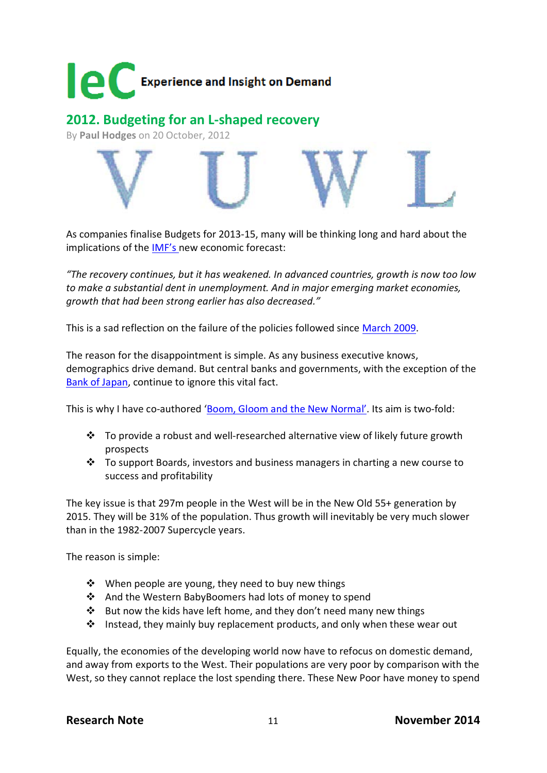

**2012. Budgeting for an L-shaped recovery**

By **[Paul Hodges](http://www.icis.com/blogs/chemicals-and-the-economy/PaulHodges/)** on 20 October, 2012



As companies finalise Budgets for 2013-15, many will be thinking long and hard about the implications of the [IMF's n](http://www.imf.org/external/pubs/ft/weo/2012/02/index.htm)ew economic forecast:

*"The recovery continues, but it has weakened. In advanced countries, growth is now too low to make a substantial dent in unemployment. And in major emerging market economies, growth that had been strong earlier has also decreased."*

This is a sad reflection on the failure of the policies followed since [March 2009.](http://www.icis.com/blogs/chemicals-and-the-economy/2009/04/01/g-20-prepares-for-london-meeti/)

The reason for the disappointment is simple. As any business executive knows, demographics drive demand. But central banks and governments, with the exception of the [Bank of Japan,](http://www.bloomberg.com/news/2012-08-21/china-entering-demographic-danger-zone-boj-official-says-2-.html) continue to ignore this vital fact.

This is why I have co-authored ['Boom, Gloom and the New Normal'.](http://www.new-normal.com/) Its aim is two-fold:

- $\cdot \cdot$  To provide a robust and well-researched alternative view of likely future growth prospects
- $\cdot \cdot$  To support Boards, investors and business managers in charting a new course to success and profitability

The key issue is that 297m people in the West will be in the New Old 55+ generation by 2015. They will be 31% of the population. Thus growth will inevitably be very much slower than in the 1982-2007 Supercycle years.

The reason is simple:

- ❖ When people are young, they need to buy new things
- And the Western BabyBoomers had lots of money to spend
- $\cdot \cdot$  But now the kids have left home, and they don't need many new things
- $\cdot \cdot$  Instead, they mainly buy replacement products, and only when these wear out

Equally, the economies of the developing world now have to refocus on domestic demand, and away from exports to the West. Their populations are very poor by comparison with the West, so they cannot replace the lost spending there. These New Poor have money to spend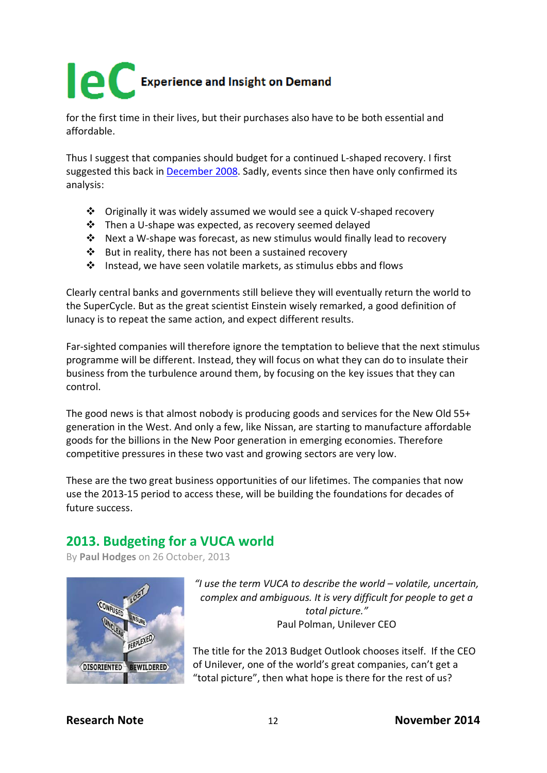for the first time in their lives, but their purchases also have to be both essential and affordable.

Thus I suggest that companies should budget for a continued L-shaped recovery. I first suggested this back in [December 2008.](http://www.icis.com/blogs/chemicals-and-the-economy/2008/12/14/a-v-u-w-or-l-shaped-recessi/) Sadly, events since then have only confirmed its analysis:

- Originally it was widely assumed we would see a quick V-shaped recovery
- Then a U-shape was expected, as recovery seemed delayed
- Next a W-shape was forecast, as new stimulus would finally lead to recovery
- $\cdot$  But in reality, there has not been a sustained recovery
- Instead, we have seen volatile markets, as stimulus ebbs and flows

Clearly central banks and governments still believe they will eventually return the world to the SuperCycle. But as the great scientist Einstein wisely remarked, a good definition of lunacy is to repeat the same action, and expect different results.

Far-sighted companies will therefore ignore the temptation to believe that the next stimulus programme will be different. Instead, they will focus on what they can do to insulate their business from the turbulence around them, by focusing on the key issues that they can control.

The good news is that almost nobody is producing goods and services for the New Old 55+ generation in the West. And only a few, like Nissan, are starting to manufacture affordable goods for the billions in the New Poor generation in emerging economies. Therefore competitive pressures in these two vast and growing sectors are very low.

These are the two great business opportunities of our lifetimes. The companies that now use the 2013-15 period to access these, will be building the foundations for decades of future success.

### **2013. Budgeting for a VUCA world**

By **[Paul Hodges](http://www.icis.com/blogs/chemicals-and-the-economy/PaulHodges/)** on 26 October, 2013



*"I use the term VUCA to describe the world – volatile, uncertain, complex and ambiguous. It is very difficult for people to get a total picture."* Paul Polman, Unilever CEO

The title for the 2013 Budget Outlook chooses itself. If the CEO of Unilever, one of the world's great companies, can't get a "total picture", then what hope is there for the rest of us?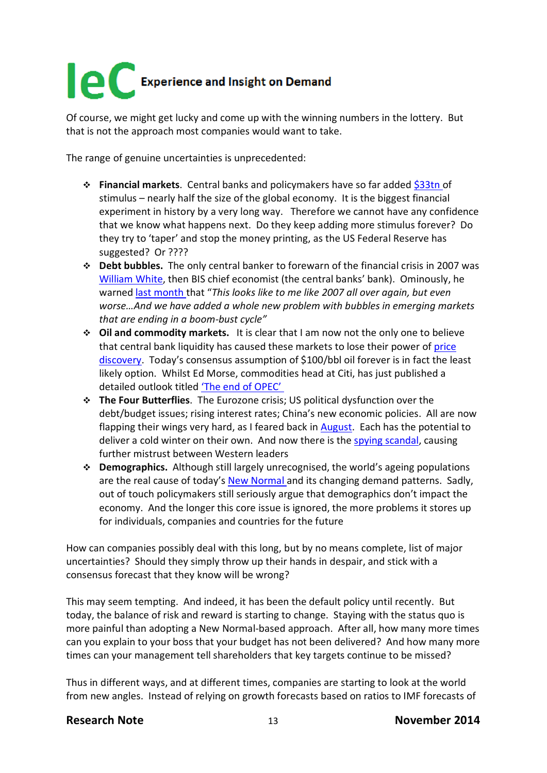Of course, we might get lucky and come up with the winning numbers in the lottery. But that is not the approach most companies would want to take.

The range of genuine uncertainties is unprecedented:

- **Financial markets**. Central banks and policymakers have so far added [\\$33tn o](http://www.icis.com/blogs/chemicals-and-the-economy/2013/07/global-operating-rates-continue-to-slip/)f stimulus – nearly half the size of the global economy. It is the biggest financial experiment in history by a very long way. Therefore we cannot have any confidence that we know what happens next. Do they keep adding more stimulus forever? Do they try to 'taper' and stop the money printing, as the US Federal Reserve has suggested? Or ????
- **Debt bubbles.** The only central banker to forewarn of the financial crisis in 2007 was [William White,](http://www.icis.com/blogs/chemicals-and-the-economy/2013/10/budgeting-vuca-world/each%20company%20to%20develop%20its%20own%20VUCA%20for%20success) then BIS chief economist (the central banks' bank). Ominously, he warned [last month t](http://www.telegraph.co.uk/finance/10310598/BIS-veteran-says-global-credit-excess-worse-than-pre-Lehman.html)hat "*This looks like to me like 2007 all over again, but even worse…And we have added a whole new problem with bubbles in emerging markets that are ending in a boom-bust cycle"*
- **Oil and commodity markets.** It is clear that I am now not the only one to believe that central bank liquidity has caused these markets to lose their power of [price](http://www.icis.com/blogs/chemicals-and-the-economy/2013/10/high-frequency-trading-continues-to-take-markets-higher/)  [discovery.](http://www.icis.com/blogs/chemicals-and-the-economy/2013/10/high-frequency-trading-continues-to-take-markets-higher/) Today's consensus assumption of \$100/bbl oil forever is in fact the least likely option. Whilst Ed Morse, commodities head at Citi, has just published a detailed outlook titled ['The end of OPEC'](http://www.foreignpolicy.com/articles/2013/10/16/the_end_of_opec_america_energy_oil?page=0,0&wp_login_redirect=0)
- **The Four Butterflies**. The Eurozone crisis; US political dysfunction over the debt/budget issues; rising interest rates; China's new economic policies. All are now flapping their wings very hard, as I feared back in [August.](http://www.icis.com/blogs/chemicals-and-the-economy/2013/08/a-flap-of-a-butterflys-wings-to-freeze-the-uk-economy/) Each has the potential to deliver a cold winter on their own. And now there is the [spying scandal,](http://www.bbc.co.uk/news/world-europe-24647602) causing further mistrust between Western leaders
- **Demographics.** Although still largely unrecognised, the world's ageing populations are the real cause of today's [New Normal a](http://www.new-normal.com/)nd its changing demand patterns. Sadly, out of touch policymakers still seriously argue that demographics don't impact the economy. And the longer this core issue is ignored, the more problems it stores up for individuals, companies and countries for the future

How can companies possibly deal with this long, but by no means complete, list of major uncertainties? Should they simply throw up their hands in despair, and stick with a consensus forecast that they know will be wrong?

This may seem tempting. And indeed, it has been the default policy until recently. But today, the balance of risk and reward is starting to change. Staying with the status quo is more painful than adopting a New Normal-based approach. After all, how many more times can you explain to your boss that your budget has not been delivered? And how many more times can your management tell shareholders that key targets continue to be missed?

Thus in different ways, and at different times, companies are starting to look at the world from new angles. Instead of relying on growth forecasts based on ratios to IMF forecasts of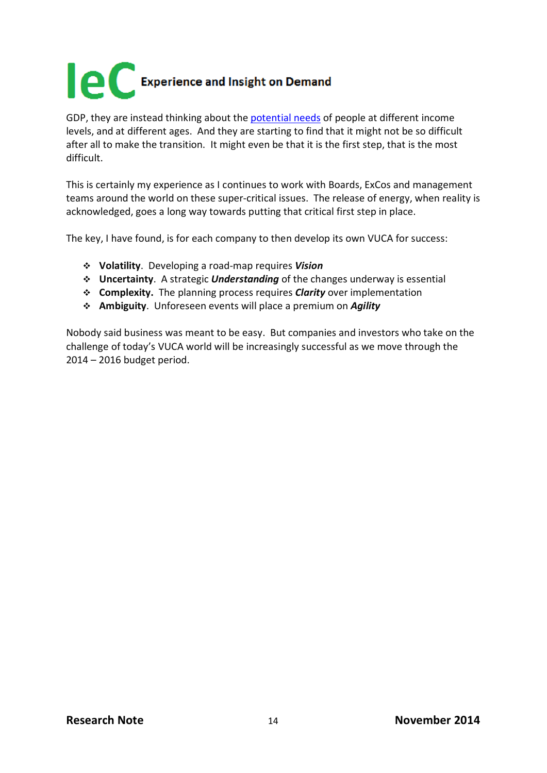

GDP, they are instead thinking about the [potential needs](http://internationalechem.com/wp-content/uploads/2013/10/ICB-Oct13.pdf) of people at different income levels, and at different ages. And they are starting to find that it might not be so difficult after all to make the transition. It might even be that it is the first step, that is the most difficult.

This is certainly my experience as I continues to work with Boards, ExCos and management teams around the world on these super-critical issues. The release of energy, when reality is acknowledged, goes a long way towards putting that critical first step in place.

The key, I have found, is for each company to then develop its own VUCA for success:

- **Volatility**. Developing a road-map requires *Vision*
- **Uncertainty**. A strategic *Understanding* of the changes underway is essential
- **Complexity.** The planning process requires *Clarity* over implementation
- **Ambiguity**. Unforeseen events will place a premium on *Agility*

Nobody said business was meant to be easy. But companies and investors who take on the challenge of today's VUCA world will be increasingly successful as we move through the 2014 – 2016 budget period.